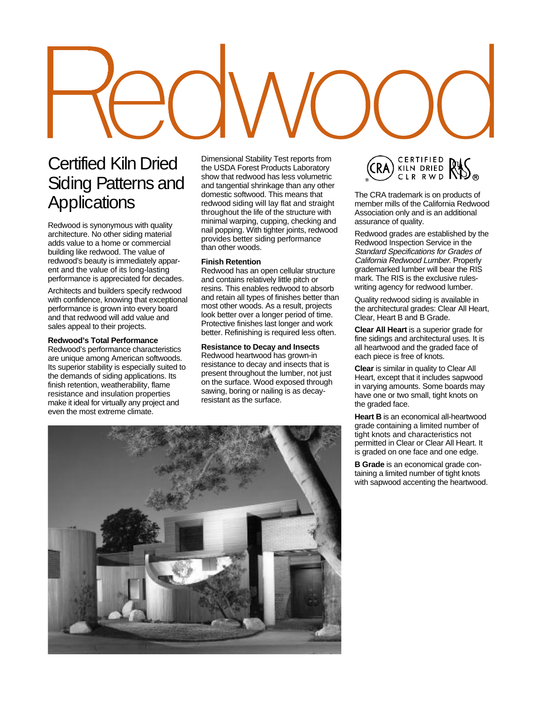### Certified Kiln Dried Siding Patterns and **Applications**

Redwood is synonymous with quality architecture. No other siding material adds value to a home or commercial building like redwood. The value of redwood's beauty is immediately apparent and the value of its long-lasting performance is appreciated for decades.

Architects and builders specify redwood with confidence, knowing that exceptional performance is grown into every board and that redwood will add value and sales appeal to their projects.

### **Redwood's Total Performance**

Redwood's performance characteristics are unique among American softwoods. Its superior stability is especially suited to the demands of siding applications. Its finish retention, weatherability, flame resistance and insulation properties make it ideal for virtually any project and even the most extreme climate.

Dimensional Stability Test reports from the USDA Forest Products Laboratory show that redwood has less volumetric and tangential shrinkage than any other domestic softwood. This means that redwood siding will lay flat and straight throughout the life of the structure with minimal warping, cupping, checking and nail popping. With tighter joints, redwood provides better siding performance than other woods.

### **Finish Retention**

Redwood has an open cellular structure and contains relatively little pitch or resins. This enables redwood to absorb and retain all types of finishes better than most other woods. As a result, projects look better over a longer period of time. Protective finishes last longer and work better. Refinishing is required less often.

### **Resistance to Decay and Insects**

Redwood heartwood has grown-in resistance to decay and insects that is present throughout the lumber, not just on the surface. Wood exposed through sawing, boring or nailing is as decayresistant as the surface.



The CRA trademark is on products of member mills of the California Redwood Association only and is an additional assurance of quality.

Redwood grades are established by the Redwood Inspection Service in the Standard Specifications for Grades of California Redwood Lumber. Properly grademarked lumber will bear the RIS mark. The RIS is the exclusive ruleswriting agency for redwood lumber.

Quality redwood siding is available in the architectural grades: Clear All Heart, Clear, Heart B and B Grade.

**Clear All Heart** is a superior grade for fine sidings and architectural uses. It is all heartwood and the graded face of each piece is free of knots.

**Clear** is similar in quality to Clear All Heart, except that it includes sapwood in varying amounts. Some boards may have one or two small, tight knots on the graded face.

**Heart B** is an economical all-heartwood grade containing a limited number of tight knots and characteristics not permitted in Clear or Clear All Heart. It is graded on one face and one edge.

**B Grade** is an economical grade containing a limited number of tight knots with sapwood accenting the heartwood.

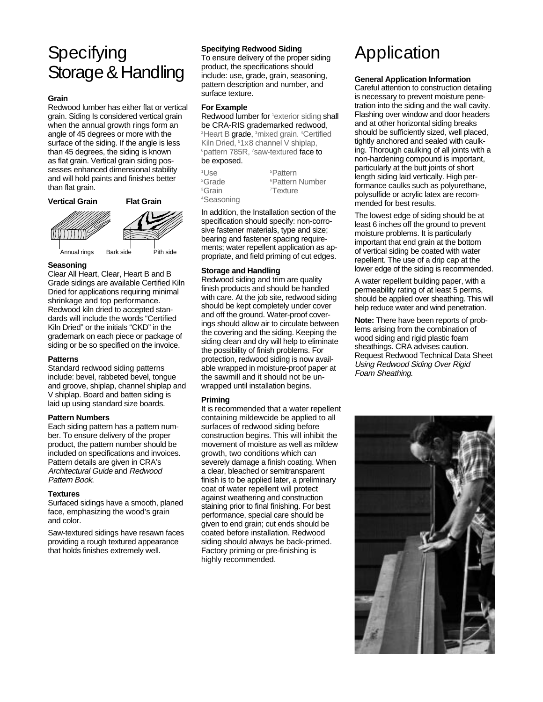### **Specifying** Storage & Handling

### **Grain**

Redwood lumber has either flat or vertical grain. Siding Is considered vertical grain when the annual growth rings form an angle of 45 degrees or more with the surface of the siding. If the angle is less than 45 degrees, the siding is known as flat grain. Vertical grain siding possesses enhanced dimensional stability and will hold paints and finishes better than flat grain.



### **Seasoning**

Clear All Heart, Clear, Heart B and B Grade sidings are available Certified Kiln Dried for applications requiring minimal shrinkage and top performance. Redwood kiln dried to accepted standards will include the words "Certified Kiln Dried" or the initials "CKD" in the grademark on each piece or package of siding or be so specified on the invoice.

### **Patterns**

Standard redwood siding patterns include: bevel, rabbeted bevel, tongue and groove, shiplap, channel shiplap and V shiplap. Board and batten siding is laid up using standard size boards.

### **Pattern Numbers**

Each siding pattern has a pattern number. To ensure delivery of the proper product, the pattern number should be included on specifications and invoices. Pattern details are given in CRA's Architectural Guide and Redwood Pattern Book.

### **Textures**

Surfaced sidings have a smooth, planed face, emphasizing the wood's grain and color.

Saw-textured sidings have resawn faces providing a rough textured appearance that holds finishes extremely well.

### **Specifying Redwood Siding**

To ensure delivery of the proper siding product, the specifications should include: use, grade, grain, seasoning, pattern description and number, and surface texture.

### **For Example**

Redwood lumber for <sup>1</sup>exterior siding shall be CRA-RIS grademarked redwood, <sup>2</sup>Heart B grade, <sup>3</sup>mixed grain. <sup>4</sup>Certified Kiln Dried, 5 1x8 channel V shiplap, <sup>6</sup> pattern 785R, 7 saw-textured face to be exposed.

| <sup>1</sup> l Jse     | <sup>5</sup> Pattern        |
|------------------------|-----------------------------|
| <sup>2</sup> Grade     | <sup>6</sup> Pattern Number |
| <sup>3</sup> Grain     | <sup>7</sup> Texture        |
| <sup>4</sup> Seasoning |                             |

In addition, the Installation section of the specification should specify: non-corrosive fastener materials, type and size; bearing and fastener spacing requirements; water repellent application as appropriate, and field priming of cut edges.

### **Storage and Handling**

Redwood siding and trim are quality finish products and should be handled with care. At the job site, redwood siding should be kept completely under cover and off the ground. Water-proof coverings should allow air to circulate between the covering and the siding. Keeping the siding clean and dry will help to eliminate the possibility of finish problems. For protection, redwood siding is now available wrapped in moisture-proof paper at the sawmill and it should not be unwrapped until installation begins.

### **Priming**

It is recommended that a water repellent containing mildewcide be applied to all surfaces of redwood siding before construction begins. This will inhibit the movement of moisture as well as mildew growth, two conditions which can severely damage a finish coating. When a clear, bleached or semitransparent finish is to be applied later, a preliminary coat of water repellent will protect against weathering and construction staining prior to final finishing. For best performance, special care should be given to end grain; cut ends should be coated before installation. Redwood siding should always be back-primed. Factory priming or pre-finishing is highly recommended.

# Application

### **General Application Information**

Careful attention to construction detailing is necessary to prevent moisture penetration into the siding and the wall cavity. Flashing over window and door headers and at other horizontal siding breaks should be sufficiently sized, well placed, tightly anchored and sealed with caulking. Thorough caulking of all joints with a non-hardening compound is important, particularly at the butt joints of short length siding laid vertically. High performance caulks such as polyurethane, polysulfide or acrylic latex are recommended for best results.

The lowest edge of siding should be at least 6 inches off the ground to prevent moisture problems. It is particularly important that end grain at the bottom of vertical siding be coated with water repellent. The use of a drip cap at the lower edge of the siding is recommended.

A water repellent building paper, with a permeability rating of at least 5 perms, should be applied over sheathing. This will help reduce water and wind penetration.

**Note:** There have been reports of problems arising from the combination of wood siding and rigid plastic foam sheathings. CRA advises caution. Request Redwood Technical Data Sheet Using Redwood Siding Over Rigid Foam Sheathing.

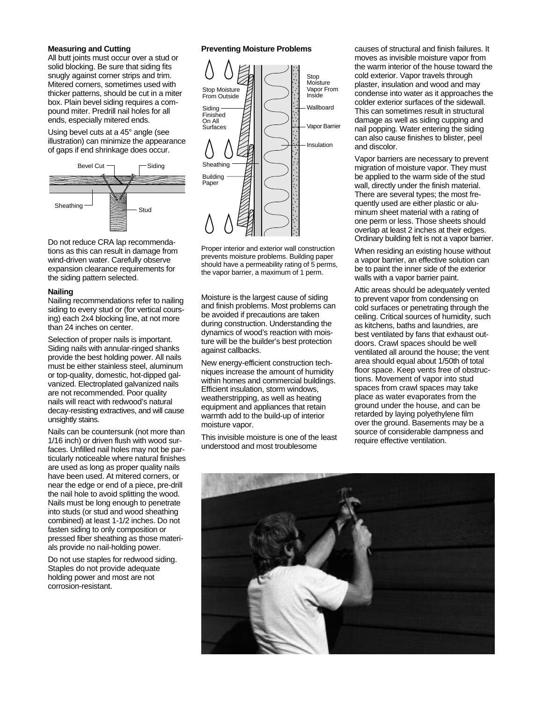### **Measuring and Cutting**

All butt joints must occur over a stud or solid blocking. Be sure that siding fits snugly against corner strips and trim. Mitered corners, sometimes used with thicker patterns, should be cut in a miter box. Plain bevel siding requires a compound miter. Predrill nail holes for all ends, especially mitered ends.

Using bevel cuts at a 45° angle (see illustration) can minimize the appearance of gaps if end shrinkage does occur.



Do not reduce CRA lap recommendations as this can result in damage from wind-driven water. Carefully observe expansion clearance requirements for the siding pattern selected.

### **Nailing**

Nailing recommendations refer to nailing siding to every stud or (for vertical coursing) each 2x4 blocking line, at not more than 24 inches on center.

Selection of proper nails is important. Siding nails with annular-ringed shanks provide the best holding power. All nails must be either stainless steel, aluminum or top-quality, domestic, hot-dipped galvanized. Electroplated galvanized nails are not recommended. Poor quality nails will react with redwood's natural decay-resisting extractives, and will cause unsightly stains.

Nails can be countersunk (not more than 1/16 inch) or driven flush with wood surfaces. Unfilled nail holes may not be particularly noticeable where natural finishes are used as long as proper quality nails have been used. At mitered corners, or near the edge or end of a piece, pre-drill the nail hole to avoid splitting the wood. Nails must be long enough to penetrate into studs (or stud and wood sheathing combined) at least 1-1/2 inches. Do not fasten siding to only composition or pressed fiber sheathing as those materials provide no nail-holding power.

Do not use staples for redwood siding. Staples do not provide adequate holding power and most are not corrosion-resistant.

### **Preventing Moisture Problems**



Proper interior and exterior wall construction prevents moisture problems. Building paper should have a permeability rating of 5 perms, the vapor barrier, a maximum of 1 perm.

Moisture is the largest cause of siding and finish problems. Most problems can be avoided if precautions are taken during construction. Understanding the dynamics of wood's reaction with moisture will be the builder's best protection against callbacks.

New energy-efficient construction techniques increase the amount of humidity within homes and commercial buildings. Efficient insulation, storm windows, weatherstripping, as well as heating equipment and appliances that retain warmth add to the build-up of interior moisture vapor.

This invisible moisture is one of the least understood and most troublesome

causes of structural and finish failures. It moves as invisible moisture vapor from the warm interior of the house toward the cold exterior. Vapor travels through plaster, insulation and wood and may condense into water as it approaches the colder exterior surfaces of the sidewall. This can sometimes result in structural damage as well as siding cupping and nail popping. Water entering the siding can also cause finishes to blister, peel and discolor.

Vapor barriers are necessary to prevent migration of moisture vapor. They must be applied to the warm side of the stud wall, directly under the finish material. There are several types; the most frequently used are either plastic or aluminum sheet material with a rating of one perm or less. Those sheets should overlap at least 2 inches at their edges. Ordinary building felt is not a vapor barrier.

When residing an existing house without a vapor barrier, an effective solution can be to paint the inner side of the exterior walls with a vapor barrier paint.

Attic areas should be adequately vented to prevent vapor from condensing on cold surfaces or penetrating through the ceiling. Critical sources of humidity, such as kitchens, baths and laundries, are best ventilated by fans that exhaust outdoors. Crawl spaces should be well ventilated all around the house; the vent area should equal about 1/50th of total floor space. Keep vents free of obstructions. Movement of vapor into stud spaces from crawl spaces may take place as water evaporates from the ground under the house, and can be retarded by laying polyethylene film over the ground. Basements may be a source of considerable dampness and require effective ventilation.

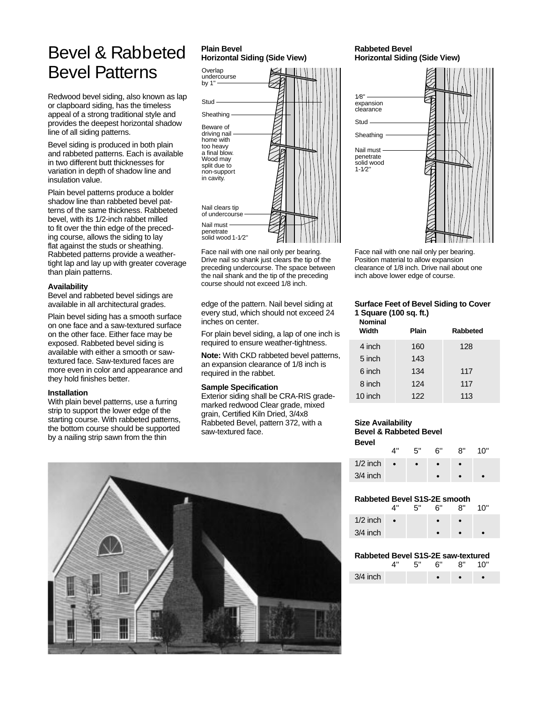### Bevel & Rabbeted Bevel Patterns

Redwood bevel siding, also known as lap or clapboard siding, has the timeless appeal of a strong traditional style and provides the deepest horizontal shadow line of all siding patterns.

Bevel siding is produced in both plain and rabbeted patterns. Each is available in two different butt thicknesses for variation in depth of shadow line and insulation value.

Plain bevel patterns produce a bolder shadow line than rabbeted bevel patterns of the same thickness. Rabbeted bevel, with its 1/2-inch rabbet milled to fit over the thin edge of the preceding course, allows the siding to lay flat against the studs or sheathing. Rabbeted patterns provide a weathertight lap and lay up with greater coverage than plain patterns.

### **Availability**

Bevel and rabbeted bevel sidings are available in all architectural grades.

Plain bevel siding has a smooth surface on one face and a saw-textured surface on the other face. Either face may be exposed. Rabbeted bevel siding is available with either a smooth or sawtextured face. Saw-textured faces are more even in color and appearance and they hold finishes better.

### **Installation**

With plain bevel patterns, use a furring strip to support the lower edge of the starting course. With rabbeted patterns, the bottom course should be supported by a nailing strip sawn from the thin

### **Plain Bevel Horizontal Siding (Side View)**



Face nail with one nail only per bearing. Drive nail so shank just clears the tip of the preceding undercourse. The space between the nail shank and the tip of the preceding course should not exceed 1/8 inch.

edge of the pattern. Nail bevel siding at every stud, which should not exceed 24 inches on center.

For plain bevel siding, a lap of one inch is required to ensure weather-tightness.

**Note:** With CKD rabbeted bevel patterns, an expansion clearance of 1/8 inch is required in the rabbet.

### **Sample Specification**

Exterior siding shall be CRA-RIS grademarked redwood Clear grade, mixed grain, Certified Kiln Dried, 3/4x8 Rabbeted Bevel, pattern 372, with a saw-textured face.



### **Rabbeted Bevel Horizontal Siding (Side View)**



Face nail with one nail only per bearing. Position material to allow expansion clearance of 1/8 inch. Drive nail about one inch above lower edge of course.

### **Surface Feet of Bevel Siding to Cover 1 Square (100 sq. ft.)**

| <b>Nominal</b><br>Width | Plain | Rabbeted |
|-------------------------|-------|----------|
| 4 inch                  | 160   | 128      |
| 5 inch                  | 143   |          |
| 6 inch                  | 134   | 117      |
| 8 inch                  | 124   | 117      |
| 10 inch                 | 122   | 113      |

### **Size Availability Bevel & Rabbeted Bevel Bevel**

|            | ⊿"        | 5" | ്ദ് | י'8 | 10" |
|------------|-----------|----|-----|-----|-----|
| $1/2$ inch | $\bullet$ |    |     |     |     |
| $3/4$ inch |           |    |     |     |     |

### **Rabbeted Bevel S1S-2E smooth**

|            | ⊿"        | 5" | ና" | ጸ" | 10" |
|------------|-----------|----|----|----|-----|
| $1/2$ inch | $\bullet$ |    |    |    |     |
| $3/4$ inch |           |    |    |    |     |
|            |           |    |    |    |     |

### **Rabbeted Bevel S1S-2E saw-textured**

|            |  |  | ייח י |  |
|------------|--|--|-------|--|
| $3/4$ inch |  |  |       |  |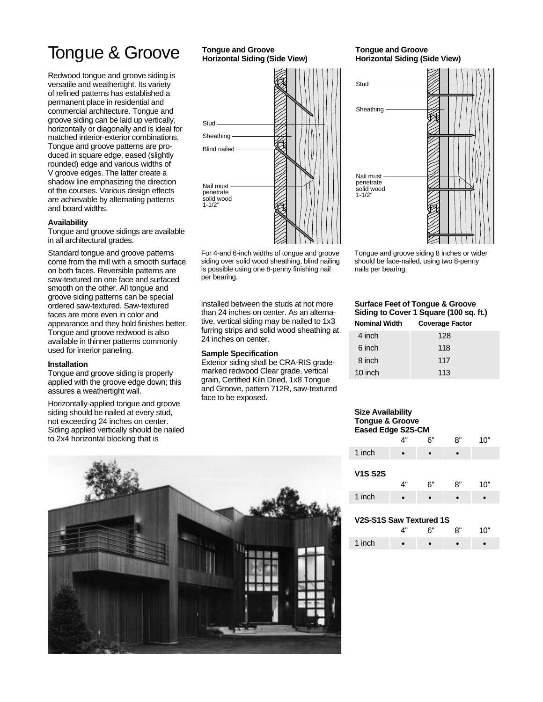### Tongue & Groove

Redwood tongue and groove siding is versatile and weathertight. Its variety of refined patterns has established a permanent place in residential and commercial architecture. Tongue and groove siding can be laid up vertically, horizontally or diagonally and is ideal for matched interior-exterior combinations. Tongue and groove patterns are produced in square edge, eased (slightly rounded) edge and various widths of V groove edges. The latter create a shadow line emphasizing the direction of the courses. Various design effects are achievable by alternating patterns and board widths.

### **Availability**

Tongue and groove sidings are available in all architectural grades.

Standard tongue and groove patterns come from the mill with a smooth surface on both faces. Reversible patterns are saw-textured on one face and surfaced smooth on the other. All tongue and groove siding patterns can be special ordered saw-textured. Saw-textured faces are more even in color and appearance and they hold finishes better. Tongue and groove redwood is also available in thinner patterns commonly used for interior paneling.

#### **Installation**

Tongue and groove siding is properly applied with the groove edge down; this assures a weathertight wall.

Horizontally-applied tongue and groove siding should be nailed at every stud, not exceeding 24 inches on center. Siding applied vertically should be nailed to 2x4 horizontal blocking that is

### **Tongue and Groove Horizontal Siding (Side View)**



For 4-and 6-inch widths of tongue and groove siding over solid wood sheathing, blind nailing is possible using one 8-penny finishing nail per bearing.

installed between the studs at not more than 24 inches on center. As an alternative, vertical siding may be nailed to 1x3 furring strips and solid wood sheathing at 24 inches on center.

#### **Sample Specification**

Exterior siding shall be CRA-RIS grademarked redwood Clear grade, vertical grain, Certified Kiln Dried, 1x8 Tongue and Groove, pattern 712R, saw-textured face to be exposed.

### **Tongue and Groove Horizontal Siding (Side View)**



Tongue and groove siding 8 inches or wider should be face-nailed, using two 8-penny nails per bearing.

### **Surface Feet of Tongue & Groove Siding to Cover 1 Square (100 sq. ft.)**

| 128 |                        |
|-----|------------------------|
| 118 |                        |
| 117 |                        |
| 113 |                        |
|     | <b>Coverage Factor</b> |

### **Size Availability Tongue & Groove Eased Edge S2S-CM**

|                | 4" | 6" | 8" | 10" |
|----------------|----|----|----|-----|
| 1 inch         |    |    |    |     |
| <b>V1S S2S</b> | 4" | 6" | 8" | 10" |
| 1 inch         |    |    |    |     |

### **V2S-S1S Saw Textured 1S**

|        | <b>С"</b> | יים | 10" |
|--------|-----------|-----|-----|
| 1 inch |           |     |     |

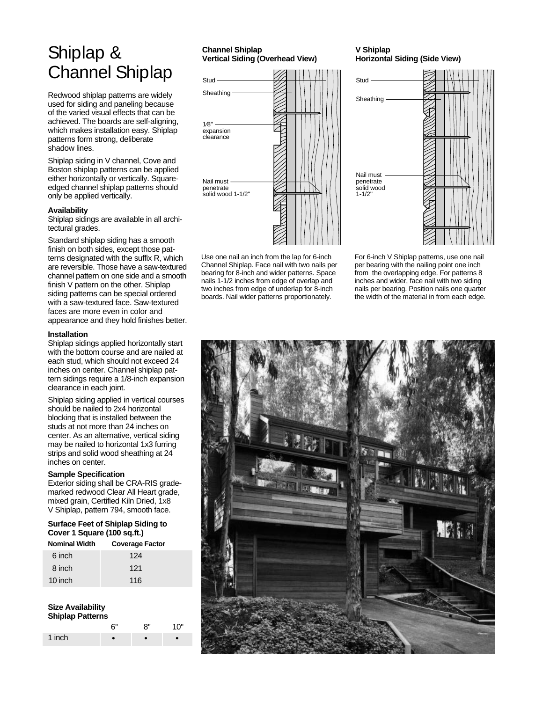### Shiplap & Channel Shiplap

Redwood shiplap patterns are widely used for siding and paneling because of the varied visual effects that can be achieved. The boards are self-aligning, which makes installation easy. Shiplap patterns form strong, deliberate shadow lines.

Shiplap siding in V channel, Cove and Boston shiplap patterns can be applied either horizontally or vertically. Squareedged channel shiplap patterns should only be applied vertically.

### **Availability**

Shiplap sidings are available in all architectural grades.

Standard shiplap siding has a smooth finish on both sides, except those patterns designated with the suffix R, which are reversible. Those have a saw-textured channel pattern on one side and a smooth finish V pattern on the other. Shiplap siding patterns can be special ordered with a saw-textured face. Saw-textured faces are more even in color and appearance and they hold finishes better.

#### **Installation**

Shiplap sidings applied horizontally start with the bottom course and are nailed at each stud, which should not exceed 24 inches on center. Channel shiplap pattern sidings require a 1/8-inch expansion clearance in each joint.

Shiplap siding applied in vertical courses should be nailed to 2x4 horizontal blocking that is installed between the studs at not more than 24 inches on center. As an alternative, vertical siding may be nailed to horizontal 1x3 furring strips and solid wood sheathing at 24 inches on center.

#### **Sample Specification**

Exterior siding shall be CRA-RIS grademarked redwood Clear All Heart grade, mixed grain, Certified Kiln Dried, 1x8 V Shiplap, pattern 794, smooth face.

**Surface Feet of Shiplap Siding to Cover 1 Square (100 sq.ft.)**

| <b>Nominal Width</b> | <b>Coverage Factor</b> |
|----------------------|------------------------|
| 6 inch               | 124                    |
| 8 inch               | 121                    |
| 10 inch              | 116                    |

#### **Size Availability Shiplap Patterns**

| <b>SHIPIAP FAILERTS</b> |      |    |     |  |
|-------------------------|------|----|-----|--|
|                         | . 6" | ጸ" | 10" |  |
| 1 inch                  |      |    |     |  |

### **Channel Shiplap Vertical Siding (Overhead View)**



Nail must penetrate solid wood  $1 - 1/2'$ 

Use one nail an inch from the lap for 6-inch Channel Shiplap. Face nail with two nails per bearing for 8-inch and wider patterns. Space nails 1-1/2 inches from edge of overlap and two inches from edge of underlap for 8-inch boards. Nail wider patterns proportionately.

For 6-inch V Shiplap patterns, use one nail per bearing with the nailing point one inch from the overlapping edge. For patterns 8 inches and wider, face nail with two siding nails per bearing. Position nails one quarter the width of the material in from each edge.



### **V Shiplap Horizontal Siding (Side View)**

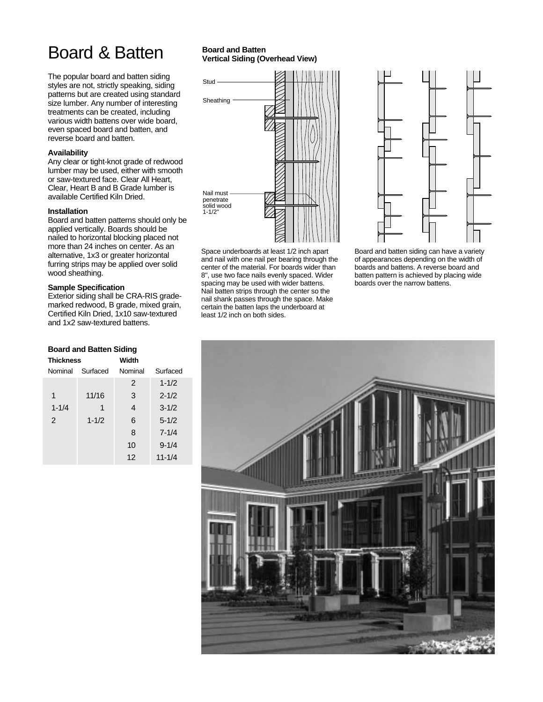## Board & Batten

The popular board and batten siding styles are not, strictly speaking, siding patterns but are created using standard size lumber. Any number of interesting treatments can be created, including various width battens over wide board, even spaced board and batten, and reverse board and batten.

### **Availability**

Any clear or tight-knot grade of redwood lumber may be used, either with smooth or saw-textured face. Clear All Heart, Clear, Heart B and B Grade lumber is available Certified Kiln Dried.

### **Installation**

Board and batten patterns should only be applied vertically. Boards should be nailed to horizontal blocking placed not more than 24 inches on center. As an alternative, 1x3 or greater horizontal furring strips may be applied over solid wood sheathing.

### **Sample Specification**

Exterior siding shall be CRA-RIS grademarked redwood, B grade, mixed grain, Certified Kiln Dried, 1x10 saw-textured and 1x2 saw-textured battens.

### **Board and Batten Siding**

| <b>Thickness</b> |           | Width          |            |
|------------------|-----------|----------------|------------|
| Nominal          | Surfaced  | Nominal        | Surfaced   |
|                  |           | 2              | $1 - 1/2$  |
| 1                | 11/16     | 3              | $2 - 1/2$  |
| $1 - 1/4$        | 1         | $\overline{4}$ | $3 - 1/2$  |
| 2                | $1 - 1/2$ | 6              | $5 - 1/2$  |
|                  |           | 8              | $7 - 1/4$  |
|                  |           | 10             | $9 - 1/4$  |
|                  |           | 12             | $11 - 1/4$ |

### **Board and Batten Vertical Siding (Overhead View)**



Space underboards at least 1/2 inch apart and nail with one nail per bearing through the center of the material. For boards wider than 8'', use two face nails evenly spaced. Wider spacing may be used with wider battens. Nail batten strips through the center so the nail shank passes through the space. Make certain the batten laps the underboard at least 1/2 inch on both sides.



Board and batten siding can have a variety of appearances depending on the width of boards and battens. A reverse board and batten pattern is achieved by placing wide boards over the narrow battens.